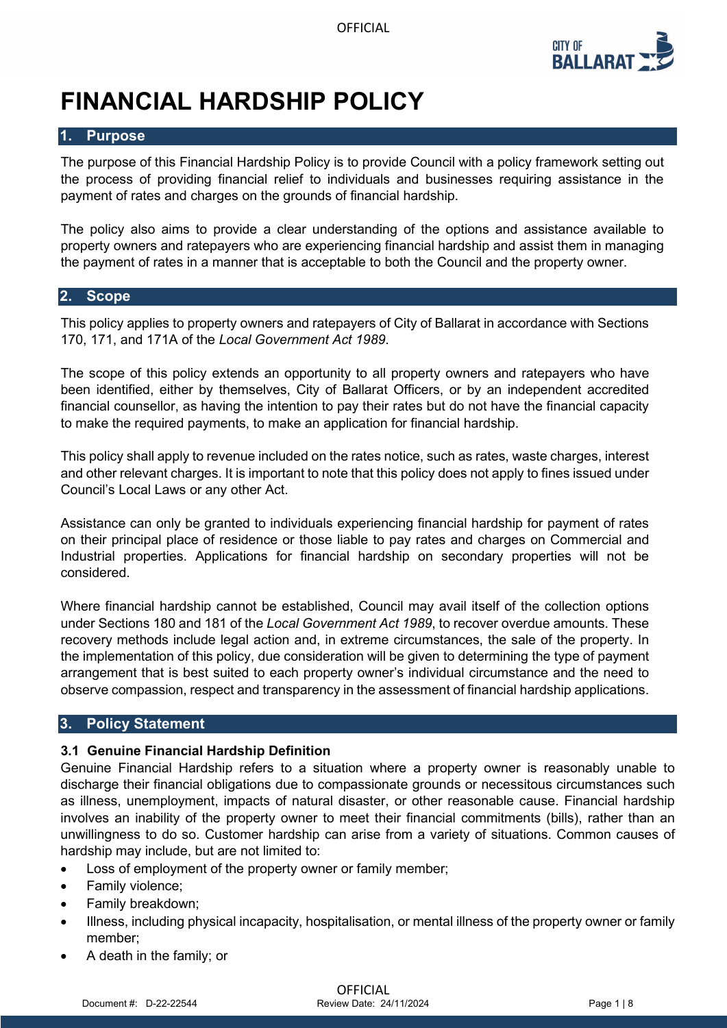

# **FINANCIAL HARDSHIP POLICY**

#### **1. Purpose**

The purpose of this Financial Hardship Policy is to provide Council with a policy framework setting out the process of providing financial relief to individuals and businesses requiring assistance in the payment of rates and charges on the grounds of financial hardship.

The policy also aims to provide a clear understanding of the options and assistance available to property owners and ratepayers who are experiencing financial hardship and assist them in managing the payment of rates in a manner that is acceptable to both the Council and the property owner.

#### **2. Scope**

This policy applies to property owners and ratepayers of City of Ballarat in accordance with Sections 170, 171, and 171A of the *Local Government Act 1989*.

The scope of this policy extends an opportunity to all property owners and ratepayers who have been identified, either by themselves, City of Ballarat Officers, or by an independent accredited financial counsellor, as having the intention to pay their rates but do not have the financial capacity to make the required payments, to make an application for financial hardship.

This policy shall apply to revenue included on the rates notice, such as rates, waste charges, interest and other relevant charges. It is important to note that this policy does not apply to fines issued under Council's Local Laws or any other Act.

Assistance can only be granted to individuals experiencing financial hardship for payment of rates on their principal place of residence or those liable to pay rates and charges on Commercial and Industrial properties. Applications for financial hardship on secondary properties will not be considered.

Where financial hardship cannot be established, Council may avail itself of the collection options under Sections 180 and 181 of the *Local Government Act 1989*, to recover overdue amounts. These recovery methods include legal action and, in extreme circumstances, the sale of the property. In the implementation of this policy, due consideration will be given to determining the type of payment arrangement that is best suited to each property owner's individual circumstance and the need to observe compassion, respect and transparency in the assessment of financial hardship applications.

#### **3. Policy Statement**

#### **3.1 Genuine Financial Hardship Definition**

Genuine Financial Hardship refers to a situation where a property owner is reasonably unable to discharge their financial obligations due to compassionate grounds or necessitous circumstances such as illness, unemployment, impacts of natural disaster, or other reasonable cause. Financial hardship involves an inability of the property owner to meet their financial commitments (bills), rather than an unwillingness to do so. Customer hardship can arise from a variety of situations. Common causes of hardship may include, but are not limited to:

- Loss of employment of the property owner or family member;
- Family violence;
- Family breakdown;
- Illness, including physical incapacity, hospitalisation, or mental illness of the property owner or family member;
- A death in the family; or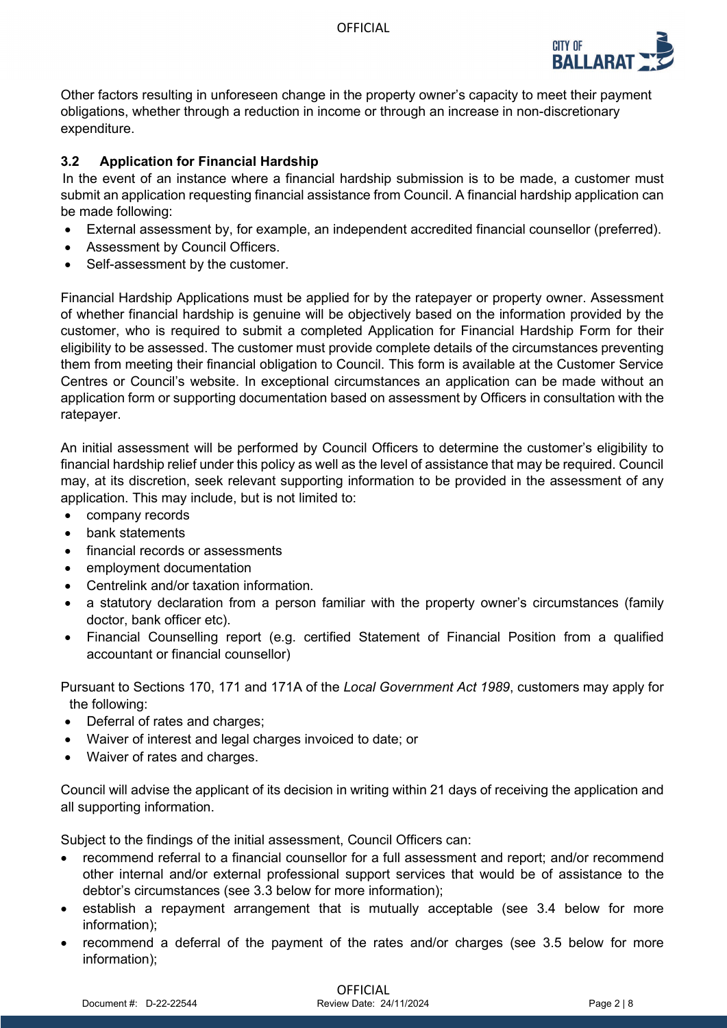

Other factors resulting in unforeseen change in the property owner's capacity to meet their payment obligations, whether through a reduction in income or through an increase in non-discretionary expenditure.

# **3.2 Application for Financial Hardship**

In the event of an instance where a financial hardship submission is to be made, a customer must submit an application requesting financial assistance from Council. A financial hardship application can be made following:

- External assessment by, for example, an independent accredited financial counsellor (preferred).
- Assessment by Council Officers.
- Self-assessment by the customer.

Financial Hardship Applications must be applied for by the ratepayer or property owner. Assessment of whether financial hardship is genuine will be objectively based on the information provided by the customer, who is required to submit a completed Application for Financial Hardship Form for their eligibility to be assessed. The customer must provide complete details of the circumstances preventing them from meeting their financial obligation to Council. This form is available at the Customer Service Centres or Council's website. In exceptional circumstances an application can be made without an application form or supporting documentation based on assessment by Officers in consultation with the ratepayer.

An initial assessment will be performed by Council Officers to determine the customer's eligibility to financial hardship relief under this policy as well as the level of assistance that may be required. Council may, at its discretion, seek relevant supporting information to be provided in the assessment of any application. This may include, but is not limited to:

- company records
- bank statements
- financial records or assessments
- employment documentation
- Centrelink and/or taxation information.
- a statutory declaration from a person familiar with the property owner's circumstances (family doctor, bank officer etc).
- Financial Counselling report (e.g. certified Statement of Financial Position from a qualified accountant or financial counsellor)

Pursuant to Sections 170, 171 and 171A of the *Local Government Act 1989*, customers may apply for the following:

- Deferral of rates and charges;
- Waiver of interest and legal charges invoiced to date; or
- Waiver of rates and charges.

Council will advise the applicant of its decision in writing within 21 days of receiving the application and all supporting information.

Subject to the findings of the initial assessment, Council Officers can:

- recommend referral to a financial counsellor for a full assessment and report; and/or recommend other internal and/or external professional support services that would be of assistance to the debtor's circumstances (see 3.3 below for more information);
- establish a repayment arrangement that is mutually acceptable (see 3.4 below for more information);
- recommend a deferral of the payment of the rates and/or charges (see 3.5 below for more information);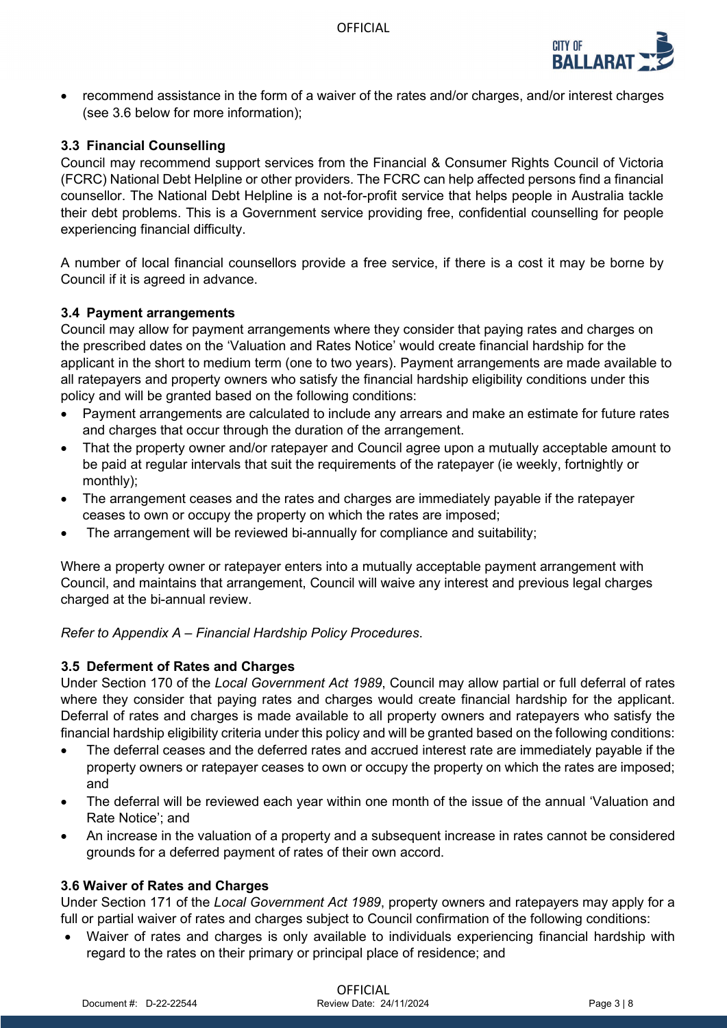

• recommend assistance in the form of a waiver of the rates and/or charges, and/or interest charges (see 3.6 below for more information);

## **3.3 Financial Counselling**

Council may recommend support services from the Financial & Consumer Rights Council of Victoria (FCRC) National Debt Helpline or other providers. The FCRC can help affected persons find a financial counsellor. The National Debt Helpline is a not-for-profit service that helps people in Australia tackle their debt problems. This is a Government service providing free, confidential counselling for people experiencing financial difficulty.

A number of local financial counsellors provide a free service, if there is a cost it may be borne by Council if it is agreed in advance.

#### **3.4 Payment arrangements**

Council may allow for payment arrangements where they consider that paying rates and charges on the prescribed dates on the 'Valuation and Rates Notice' would create financial hardship for the applicant in the short to medium term (one to two years). Payment arrangements are made available to all ratepayers and property owners who satisfy the financial hardship eligibility conditions under this policy and will be granted based on the following conditions:

- Payment arrangements are calculated to include any arrears and make an estimate for future rates and charges that occur through the duration of the arrangement.
- That the property owner and/or ratepayer and Council agree upon a mutually acceptable amount to be paid at regular intervals that suit the requirements of the ratepayer (ie weekly, fortnightly or monthly);
- The arrangement ceases and the rates and charges are immediately payable if the ratepayer ceases to own or occupy the property on which the rates are imposed;
- The arrangement will be reviewed bi-annually for compliance and suitability;

Where a property owner or ratepayer enters into a mutually acceptable payment arrangement with Council, and maintains that arrangement, Council will waive any interest and previous legal charges charged at the bi-annual review.

#### *Refer to Appendix A – Financial Hardship Policy Procedures*.

#### **3.5 Deferment of Rates and Charges**

Under Section 170 of the *Local Government Act 1989*, Council may allow partial or full deferral of rates where they consider that paying rates and charges would create financial hardship for the applicant. Deferral of rates and charges is made available to all property owners and ratepayers who satisfy the financial hardship eligibility criteria under this policy and will be granted based on the following conditions:

- The deferral ceases and the deferred rates and accrued interest rate are immediately payable if the property owners or ratepayer ceases to own or occupy the property on which the rates are imposed; and
- The deferral will be reviewed each year within one month of the issue of the annual 'Valuation and Rate Notice'; and
- An increase in the valuation of a property and a subsequent increase in rates cannot be considered grounds for a deferred payment of rates of their own accord.

#### **3.6 Waiver of Rates and Charges**

Under Section 171 of the *Local Government Act 1989*, property owners and ratepayers may apply for a full or partial waiver of rates and charges subject to Council confirmation of the following conditions:

• Waiver of rates and charges is only available to individuals experiencing financial hardship with regard to the rates on their primary or principal place of residence; and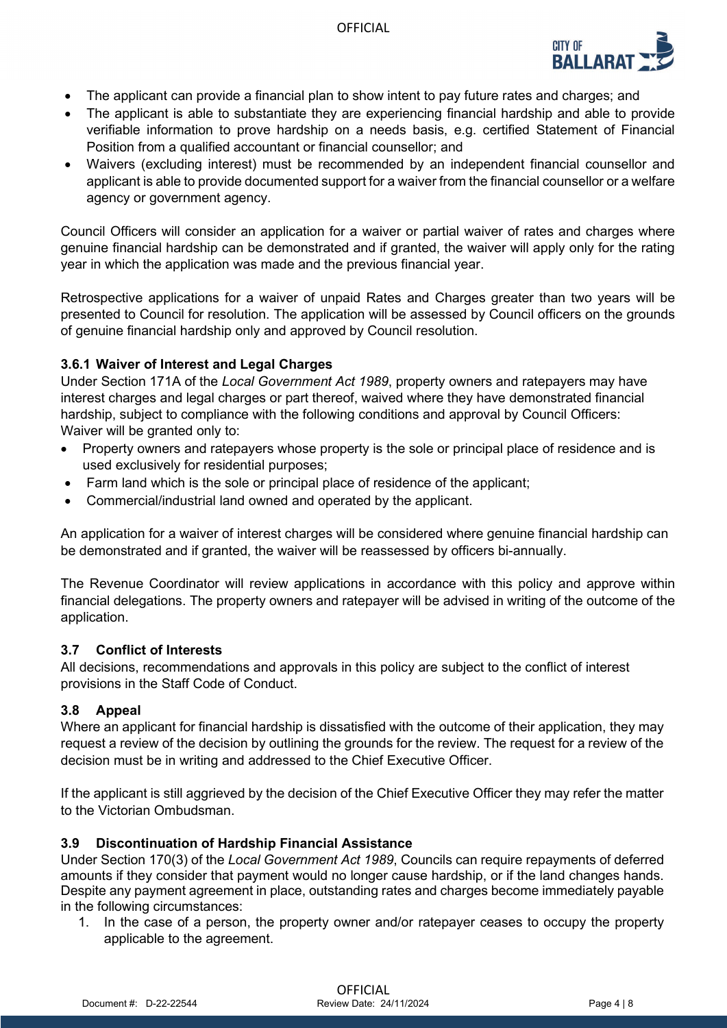

- The applicant can provide a financial plan to show intent to pay future rates and charges; and
- The applicant is able to substantiate they are experiencing financial hardship and able to provide verifiable information to prove hardship on a needs basis, e.g. certified Statement of Financial Position from a qualified accountant or financial counsellor; and
- Waivers (excluding interest) must be recommended by an independent financial counsellor and applicant is able to provide documented support for a waiver from the financial counsellor or a welfare agency or government agency.

Council Officers will consider an application for a waiver or partial waiver of rates and charges where genuine financial hardship can be demonstrated and if granted, the waiver will apply only for the rating year in which the application was made and the previous financial year.

Retrospective applications for a waiver of unpaid Rates and Charges greater than two years will be presented to Council for resolution. The application will be assessed by Council officers on the grounds of genuine financial hardship only and approved by Council resolution.

### **3.6.1 Waiver of Interest and Legal Charges**

Under Section 171A of the *Local Government Act 1989*, property owners and ratepayers may have interest charges and legal charges or part thereof, waived where they have demonstrated financial hardship, subject to compliance with the following conditions and approval by Council Officers: Waiver will be granted only to:

- Property owners and ratepayers whose property is the sole or principal place of residence and is used exclusively for residential purposes;
- Farm land which is the sole or principal place of residence of the applicant;
- Commercial/industrial land owned and operated by the applicant.

An application for a waiver of interest charges will be considered where genuine financial hardship can be demonstrated and if granted, the waiver will be reassessed by officers bi-annually.

The Revenue Coordinator will review applications in accordance with this policy and approve within financial delegations. The property owners and ratepayer will be advised in writing of the outcome of the application.

#### **3.7 Conflict of Interests**

All decisions, recommendations and approvals in this policy are subject to the conflict of interest provisions in the Staff Code of Conduct.

# **3.8 Appeal**

Where an applicant for financial hardship is dissatisfied with the outcome of their application, they may request a review of the decision by outlining the grounds for the review. The request for a review of the decision must be in writing and addressed to the Chief Executive Officer.

If the applicant is still aggrieved by the decision of the Chief Executive Officer they may refer the matter to the Victorian Ombudsman.

#### **3.9 Discontinuation of Hardship Financial Assistance**

Under Section 170(3) of the *Local Government Act 1989*, Councils can require repayments of deferred amounts if they consider that payment would no longer cause hardship, or if the land changes hands. Despite any payment agreement in place, outstanding rates and charges become immediately payable in the following circumstances:

1. In the case of a person, the property owner and/or ratepayer ceases to occupy the property applicable to the agreement.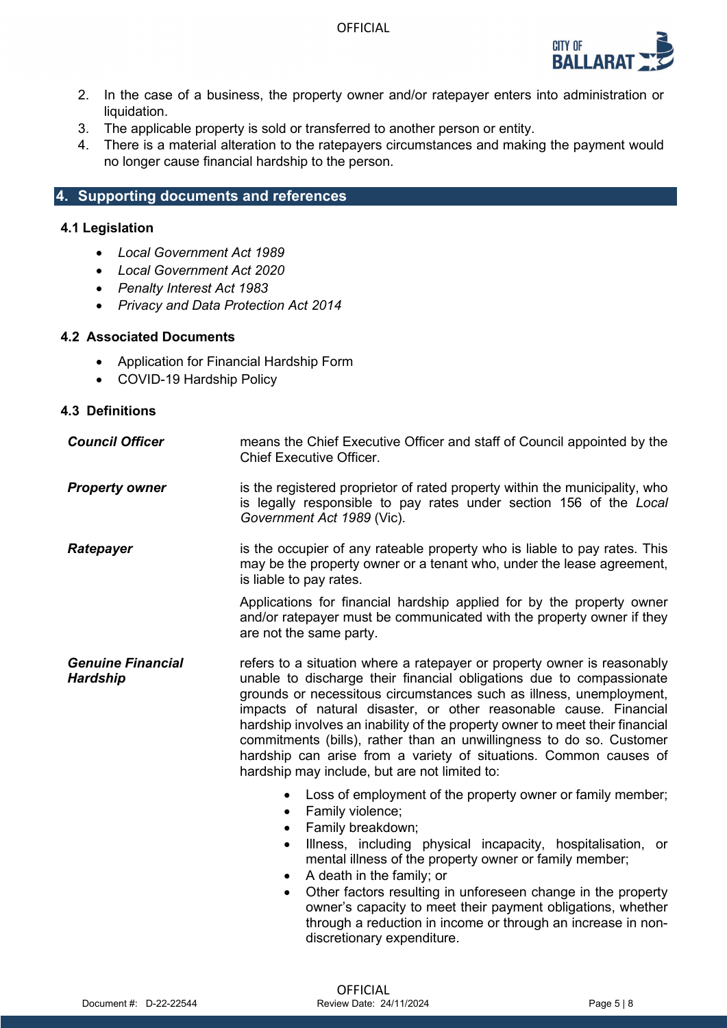

- 2. In the case of a business, the property owner and/or ratepayer enters into administration or liquidation.
- 3. The applicable property is sold or transferred to another person or entity.
- 4. There is a material alteration to the ratepayers circumstances and making the payment would no longer cause financial hardship to the person.

# **4. Supporting documents and references**

#### **4.1 Legislation**

- *Local Government Act 1989*
- *Local Government Act 2020*
- *Penalty Interest Act 1983*
- *Privacy and Data Protection Act 2014*

#### **4.2 Associated Documents**

- Application for Financial Hardship Form
- COVID-19 Hardship Policy

## **4.3 Definitions**

| <b>Council Officer</b>                      | means the Chief Executive Officer and staff of Council appointed by the<br><b>Chief Executive Officer.</b>                                                                                                                                                                                                                                                                                                                                                                                                                                                                |
|---------------------------------------------|---------------------------------------------------------------------------------------------------------------------------------------------------------------------------------------------------------------------------------------------------------------------------------------------------------------------------------------------------------------------------------------------------------------------------------------------------------------------------------------------------------------------------------------------------------------------------|
| <b>Property owner</b>                       | is the registered proprietor of rated property within the municipality, who<br>is legally responsible to pay rates under section 156 of the Local<br>Government Act 1989 (Vic).                                                                                                                                                                                                                                                                                                                                                                                           |
| Ratepayer                                   | is the occupier of any rateable property who is liable to pay rates. This<br>may be the property owner or a tenant who, under the lease agreement,<br>is liable to pay rates.                                                                                                                                                                                                                                                                                                                                                                                             |
|                                             | Applications for financial hardship applied for by the property owner<br>and/or ratepayer must be communicated with the property owner if they<br>are not the same party.                                                                                                                                                                                                                                                                                                                                                                                                 |
| <b>Genuine Financial</b><br><b>Hardship</b> | refers to a situation where a ratepayer or property owner is reasonably<br>unable to discharge their financial obligations due to compassionate<br>grounds or necessitous circumstances such as illness, unemployment,<br>impacts of natural disaster, or other reasonable cause. Financial<br>hardship involves an inability of the property owner to meet their financial<br>commitments (bills), rather than an unwillingness to do so. Customer<br>hardship can arise from a variety of situations. Common causes of<br>hardship may include, but are not limited to: |
|                                             | Loss of employment of the property owner or family member;<br>Family violence;<br>$\bullet$<br>Family breakdown;<br>$\bullet$<br>Illness, including physical incapacity, hospitalisation, or<br>$\bullet$<br>mental illness of the property owner or family member;<br>A death in the family; or<br>Other factors resulting in unforeseen change in the property<br>owner's capacity to meet their payment obligations, whether<br>through a reduction in income or through an increase in non-<br>discretionary expenditure.                                             |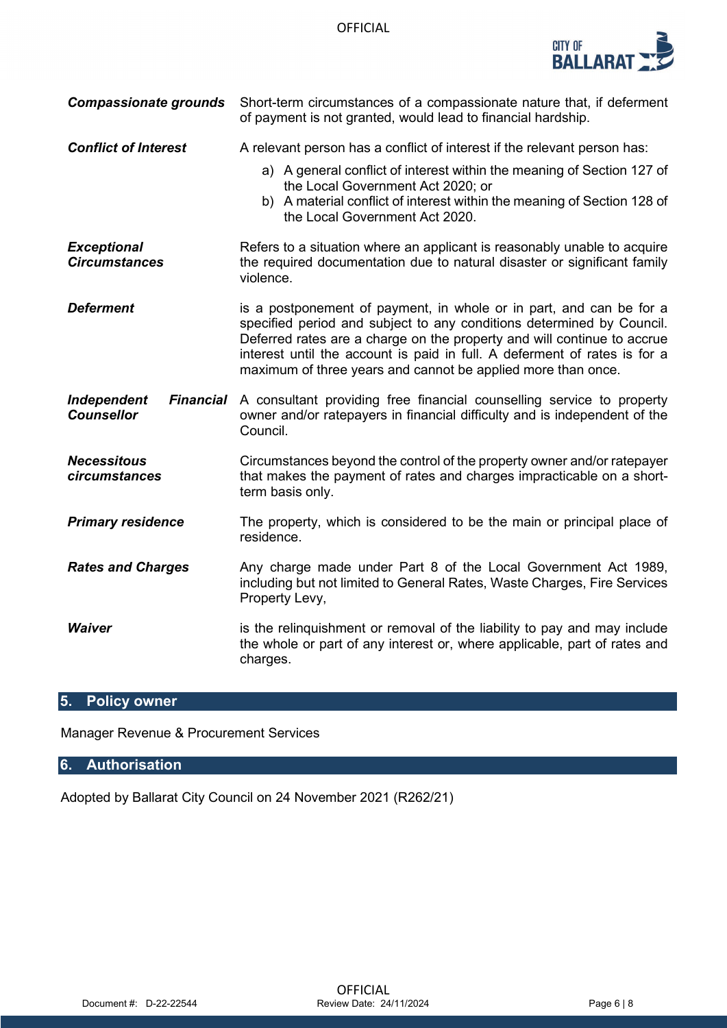

| <b>Compassionate grounds</b>               | Short-term circumstances of a compassionate nature that, if deferment<br>of payment is not granted, would lead to financial hardship.                                                                                                                                                                                                                                |
|--------------------------------------------|----------------------------------------------------------------------------------------------------------------------------------------------------------------------------------------------------------------------------------------------------------------------------------------------------------------------------------------------------------------------|
| <b>Conflict of Interest</b>                | A relevant person has a conflict of interest if the relevant person has:<br>a) A general conflict of interest within the meaning of Section 127 of<br>the Local Government Act 2020; or<br>b) A material conflict of interest within the meaning of Section 128 of<br>the Local Government Act 2020.                                                                 |
| <b>Exceptional</b><br><b>Circumstances</b> | Refers to a situation where an applicant is reasonably unable to acquire<br>the required documentation due to natural disaster or significant family<br>violence.                                                                                                                                                                                                    |
| <b>Deferment</b>                           | is a postponement of payment, in whole or in part, and can be for a<br>specified period and subject to any conditions determined by Council.<br>Deferred rates are a charge on the property and will continue to accrue<br>interest until the account is paid in full. A deferment of rates is for a<br>maximum of three years and cannot be applied more than once. |
| <b>Independent</b><br><b>Counsellor</b>    | <b>Financial</b> A consultant providing free financial counselling service to property<br>owner and/or ratepayers in financial difficulty and is independent of the<br>Council.                                                                                                                                                                                      |
| <b>Necessitous</b><br>circumstances        | Circumstances beyond the control of the property owner and/or ratepayer<br>that makes the payment of rates and charges impracticable on a short-<br>term basis only.                                                                                                                                                                                                 |
| <b>Primary residence</b>                   | The property, which is considered to be the main or principal place of<br>residence.                                                                                                                                                                                                                                                                                 |
| <b>Rates and Charges</b>                   | Any charge made under Part 8 of the Local Government Act 1989,<br>including but not limited to General Rates, Waste Charges, Fire Services<br>Property Levy,                                                                                                                                                                                                         |
| <b>Waiver</b>                              | is the relinguishment or removal of the liability to pay and may include<br>the whole or part of any interest or, where applicable, part of rates and<br>charges.                                                                                                                                                                                                    |

# **5. Policy owner**

Manager Revenue & Procurement Services

# **6. Authorisation**

Adopted by Ballarat City Council on 24 November 2021 (R262/21)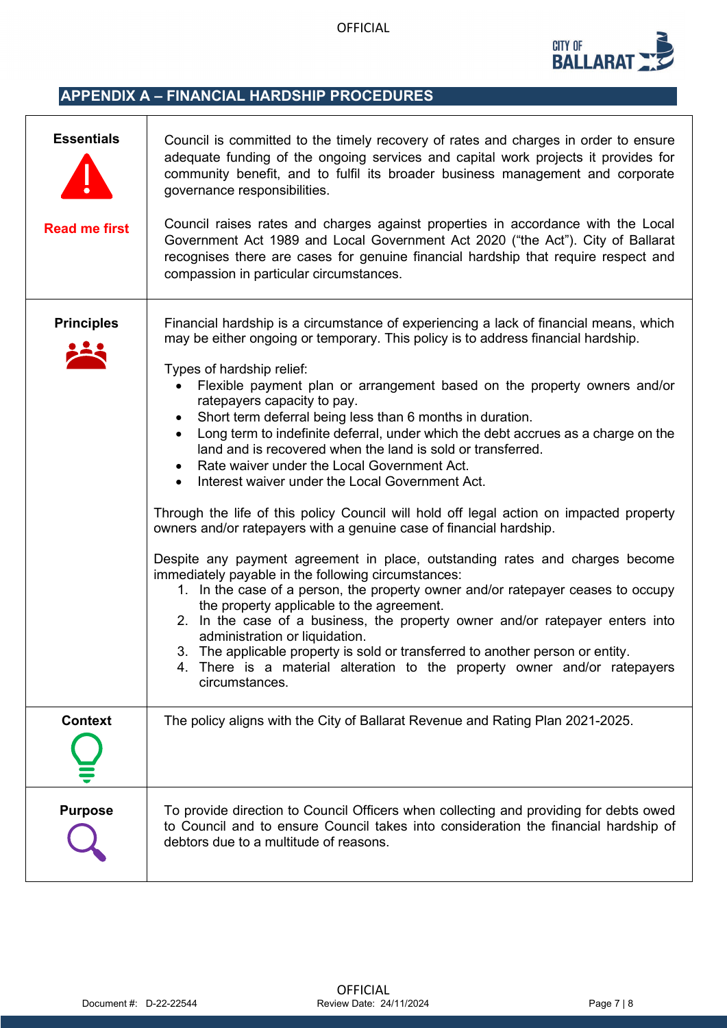

# **APPENDIX A – FINANCIAL HARDSHIP PROCEDURES**

 $\mathsf{r}$ 

| <b>Essentials</b><br><b>Read me first</b> | Council is committed to the timely recovery of rates and charges in order to ensure<br>adequate funding of the ongoing services and capital work projects it provides for<br>community benefit, and to fulfil its broader business management and corporate<br>governance responsibilities.<br>Council raises rates and charges against properties in accordance with the Local<br>Government Act 1989 and Local Government Act 2020 ("the Act"). City of Ballarat<br>recognises there are cases for genuine financial hardship that require respect and<br>compassion in particular circumstances.                                                                                                                                                                                                                                                                                                                                                                                                                                                                                                                                                                                                                                                                                                                                                                                              |
|-------------------------------------------|--------------------------------------------------------------------------------------------------------------------------------------------------------------------------------------------------------------------------------------------------------------------------------------------------------------------------------------------------------------------------------------------------------------------------------------------------------------------------------------------------------------------------------------------------------------------------------------------------------------------------------------------------------------------------------------------------------------------------------------------------------------------------------------------------------------------------------------------------------------------------------------------------------------------------------------------------------------------------------------------------------------------------------------------------------------------------------------------------------------------------------------------------------------------------------------------------------------------------------------------------------------------------------------------------------------------------------------------------------------------------------------------------|
| <b>Principles</b>                         | Financial hardship is a circumstance of experiencing a lack of financial means, which<br>may be either ongoing or temporary. This policy is to address financial hardship.<br>Types of hardship relief:<br>Flexible payment plan or arrangement based on the property owners and/or<br>ratepayers capacity to pay.<br>Short term deferral being less than 6 months in duration.<br>Long term to indefinite deferral, under which the debt accrues as a charge on the<br>$\bullet$<br>land and is recovered when the land is sold or transferred.<br>Rate waiver under the Local Government Act.<br>Interest waiver under the Local Government Act.<br>Through the life of this policy Council will hold off legal action on impacted property<br>owners and/or ratepayers with a genuine case of financial hardship.<br>Despite any payment agreement in place, outstanding rates and charges become<br>immediately payable in the following circumstances:<br>1. In the case of a person, the property owner and/or ratepayer ceases to occupy<br>the property applicable to the agreement.<br>2. In the case of a business, the property owner and/or ratepayer enters into<br>administration or liquidation.<br>3. The applicable property is sold or transferred to another person or entity.<br>4. There is a material alteration to the property owner and/or ratepayers<br>circumstances. |
| <b>Context</b>                            | The policy aligns with the City of Ballarat Revenue and Rating Plan 2021-2025.                                                                                                                                                                                                                                                                                                                                                                                                                                                                                                                                                                                                                                                                                                                                                                                                                                                                                                                                                                                                                                                                                                                                                                                                                                                                                                                   |
| <b>Purpose</b>                            | To provide direction to Council Officers when collecting and providing for debts owed<br>to Council and to ensure Council takes into consideration the financial hardship of<br>debtors due to a multitude of reasons.                                                                                                                                                                                                                                                                                                                                                                                                                                                                                                                                                                                                                                                                                                                                                                                                                                                                                                                                                                                                                                                                                                                                                                           |